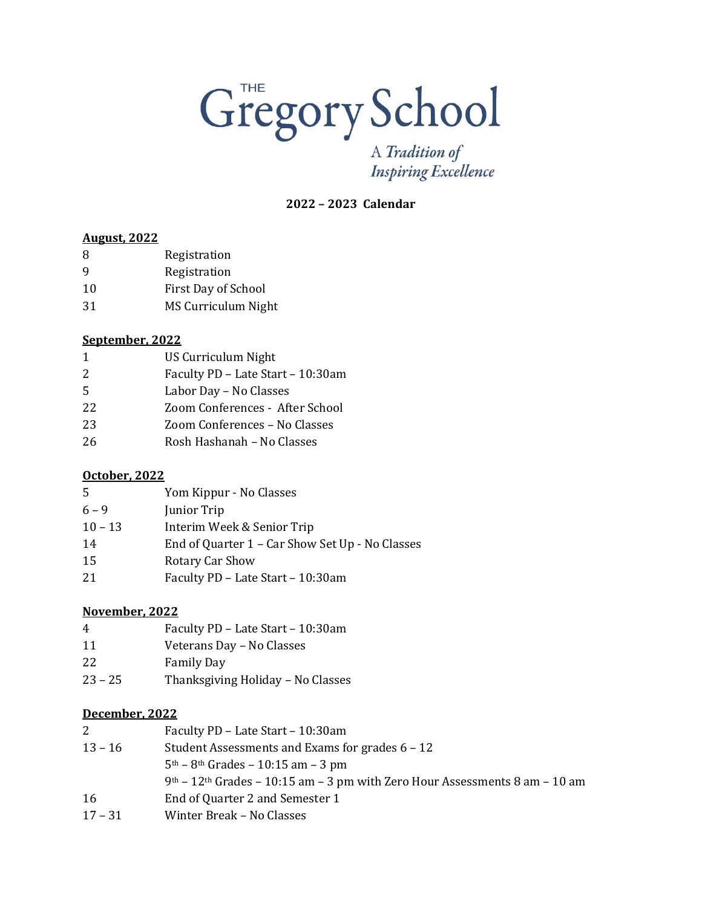# Gregory School

A Tradition of **Inspiring Excellence** 

**– 2023 Calendar** 

## **August, 2022**

| 8  | Registration        |
|----|---------------------|
| 9  | Registration        |
| 10 | First Day of School |

MS Curriculum Night

#### **September, 2022**

| $\mathbf{1}$ | US Curriculum Night               |
|--------------|-----------------------------------|
| 2            | Faculty PD - Late Start - 10:30am |
| .5           | Labor Day - No Classes            |
| 22           | Zoom Conferences - After School   |
| 23           | Zoom Conferences - No Classes     |
| 26           | Rosh Hashanah - No Classes        |

## **October, 2022**

| 5         | Yom Kippur - No Classes                         |
|-----------|-------------------------------------------------|
| $6 - 9$   | Junior Trip                                     |
| $10 - 13$ | Interim Week & Senior Trip                      |
| 14        | End of Quarter 1 – Car Show Set Up - No Classes |
| 15        | Rotary Car Show                                 |
| 21        | Faculty PD - Late Start - 10:30am               |

## **November, 2022**

 Faculty PD – Late Start – 10:30am Veterans Day – No Classes Family Day – 25 Thanksgiving Holiday – No Classes

## **December, 2022**

| 2         | Faculty PD - Late Start - 10:30am                                                         |
|-----------|-------------------------------------------------------------------------------------------|
| $13 - 16$ | Student Assessments and Exams for grades 6 – 12                                           |
|           | $5th - 8th$ Grades – 10:15 am – 3 pm                                                      |
|           | $9th$ – 12 <sup>th</sup> Grades – 10:15 am – 3 pm with Zero Hour Assessments 8 am – 10 am |
| 16        | End of Quarter 2 and Semester 1                                                           |
| $17 - 31$ | Winter Break – No Classes                                                                 |